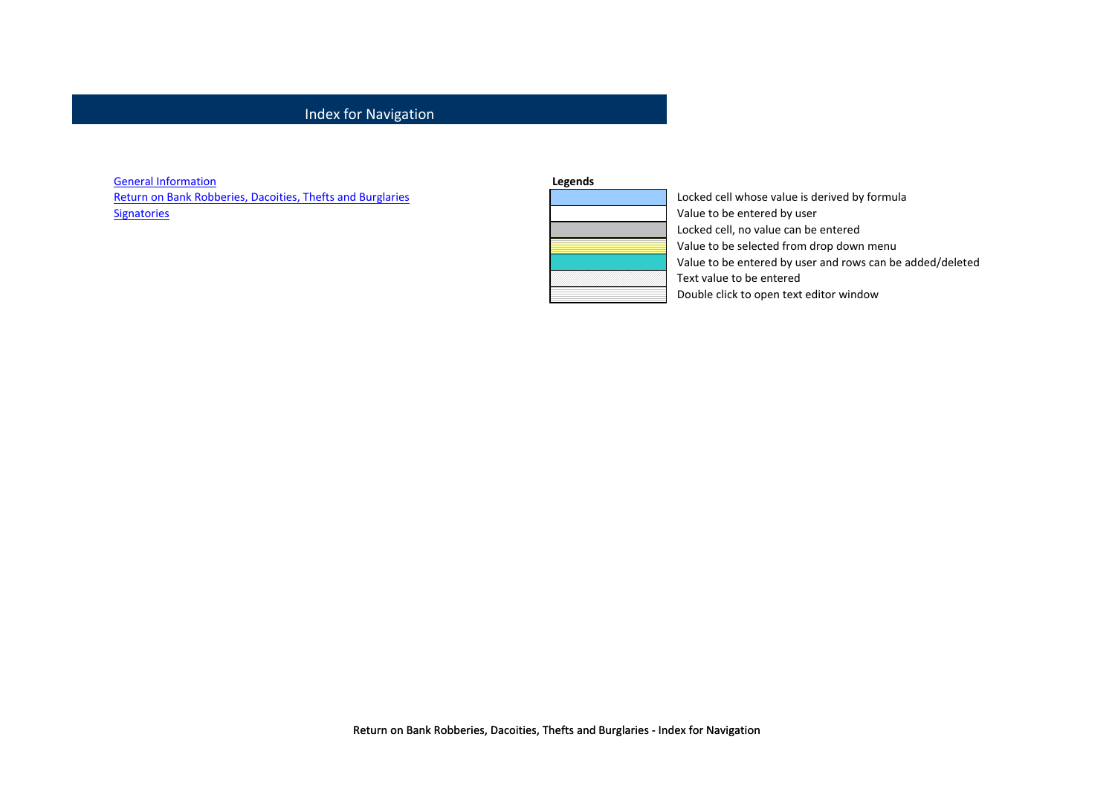### Index for Navigation

General Information

Return on Bank Robberies, Dacoities, Thefts and Burglaries Locked cell whose value is derived by formula Signatories **Signatories** Value to be entered by user

| Locked ce         |
|-------------------|
| Value to b        |
| Locked ce         |
| Value to b        |
| Value to b        |
| <b>Text value</b> |
| Double cli        |

ell, no value can be entered be selected from drop down menu be entered by user and rows can be added/deleted t value e to be entered e click to open text editor window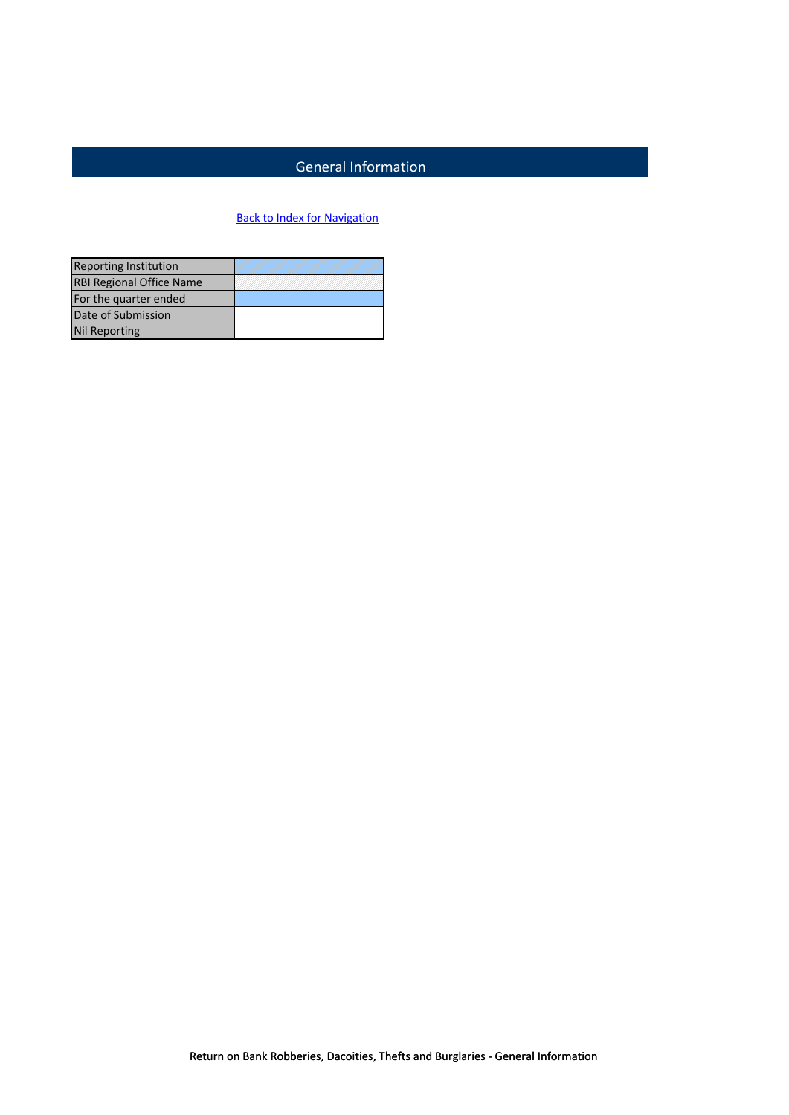# General Information

## **Back to Index for Navigation**

| <b>Reporting Institution</b>    |  |
|---------------------------------|--|
| <b>RBI Regional Office Name</b> |  |
| For the quarter ended           |  |
| Date of Submission              |  |
| <b>Nil Reporting</b>            |  |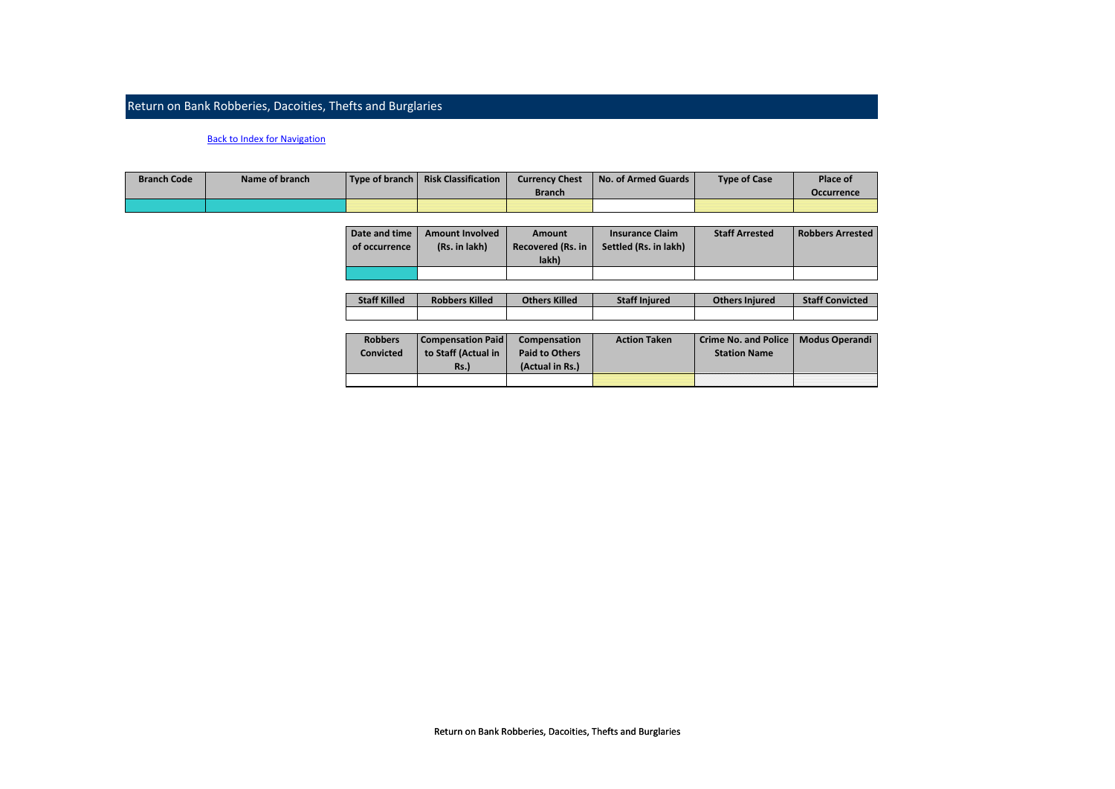### Return on Bank Robberies, Dacoities, Thefts and Burglaries

#### Back to Index for Navigation

| <b>Branch Code</b> | Name of branch | Type of branch   Risk Classification | <b>Currency Chest</b> | No. of Armed Guards | <b>Type of Case</b> | Place of          |
|--------------------|----------------|--------------------------------------|-----------------------|---------------------|---------------------|-------------------|
|                    |                |                                      | <b>Branch</b>         |                     |                     | <b>Occurrence</b> |
|                    |                |                                      |                       |                     |                     |                   |

| Date and time | <b>Amount Involved</b> | Amount                     | <b>Insurance Claim</b> | <b>Staff Arrested</b> | <b>Robbers Arrested</b> |
|---------------|------------------------|----------------------------|------------------------|-----------------------|-------------------------|
| of occurrence | (Rs. in lakh)          | Recovered (Rs. in<br>lakh) | Settled (Rs. in lakh)  |                       |                         |
|               |                        |                            |                        |                       |                         |

| <b>Staff Killed</b> | <b>Robbers Killed</b> | <b>Others Killed</b> | <b>Staff Injured</b> | <b>Others Injured</b> | <b>Staff Convicted</b> |
|---------------------|-----------------------|----------------------|----------------------|-----------------------|------------------------|
|                     |                       |                      |                      |                       |                        |

| <b>Robbers</b><br>Convicted | <b>Compensation Paid</b><br>to Staff (Actual in<br>Rs.) | Compensation<br><b>Paid to Others</b><br>(Actual in Rs.) | <b>Action Taken</b> | Crime No. and Police   Modus Operandi<br><b>Station Name</b> |  |
|-----------------------------|---------------------------------------------------------|----------------------------------------------------------|---------------------|--------------------------------------------------------------|--|
|                             |                                                         |                                                          |                     |                                                              |  |